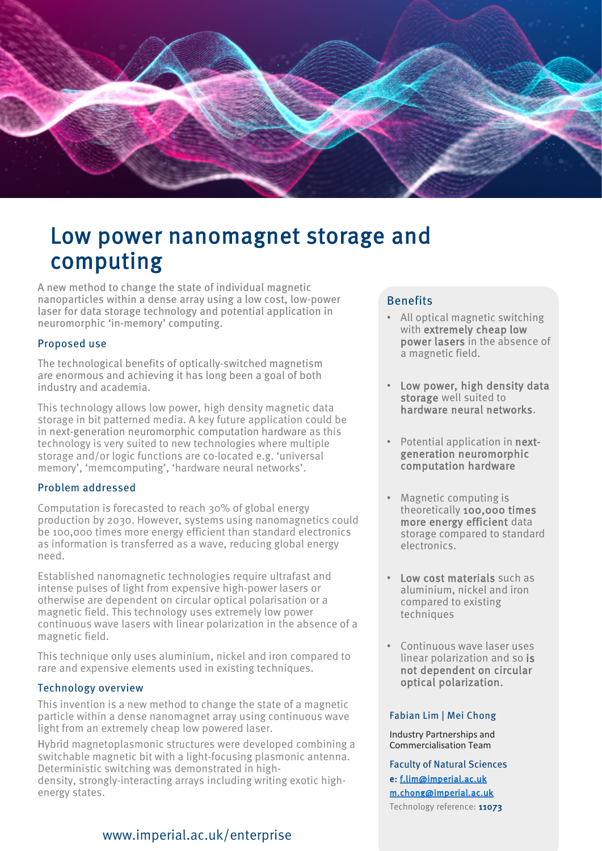

# Low power nanomagnet storage and computing

A new method to change the state of individual magnetic nanoparticles within a dense array using a low cost, low-power laser for data storage technology and potential application in neuromorphic 'in-memory' computing.

#### Proposed use

The technological benefits of optically-switched magnetism are enormous and achieving it has long been a goal of both industry and academia.

This technology allows low power, high density magnetic data storage in bit patterned media. A key future application could be in next-generation neuromorphic computation hardware as this technology is very suited to new technologies where multiple storage and/or logic functions are co-located e.g. 'universal memory', 'memcomputing', 'hardware neural networks'.

#### Problem addressed

Computation is forecasted to reach 30% of global energy production by 2030. However, systems using nanomagnetics could be 100,000 times more energy efficient than standard electronics as information is transferred as a wave, reducing global energy need.

Established nanomagnetic technologies require ultrafast and intense pulses of light from expensive high-power lasers or otherwise are dependent on circular optical polarisation or a magnetic field. This technology uses extremely low power continuous wave lasers with linear polarization in the absence of a magnetic field.

This technique only uses aluminium, nickel and iron compared to rare and expensive elements used in existing techniques.

#### Technology overview

This invention is a new method to change the state of a magnetic particle within a dense nanomagnet array using continuous wave light from an extremely cheap low powered laser.

Hybrid magnetoplasmonic structures were developed combining a switchable magnetic bit with a light-focusing plasmonic antenna. Deterministic switching was demonstrated in highdensity, strongly-interacting arrays including writing exotic highenergy states.

### www.imperial.ac.uk/enterprise

#### Benefits

- All optical magnetic switching with extremely cheap low power lasers in the absence of a magnetic field.
- Low power, high density data storage well suited to hardware neural networks.
- Potential application in nextgeneration neuromorphic computation hardware
- Magnetic computing is theoretically 100,000 times more energy efficient data storage compared to standard electronics.
- Low cost materials such as aluminium, nickel and iron compared to existing techniques
- Continuous wave laser uses linear polarization and so is not dependent on circular optical polarization.

#### Fabian Lim | Mei Chong

Industry Partnerships and Commercialisation Team

Faculty of Natural Sciences e: [f.lim@imperial.ac.uk](mailto:f.lim@imperial.ac.uk) [m.chong@imperial.ac.uk](mailto:m.chong@imperial.ac.uk) Technology reference: 11073